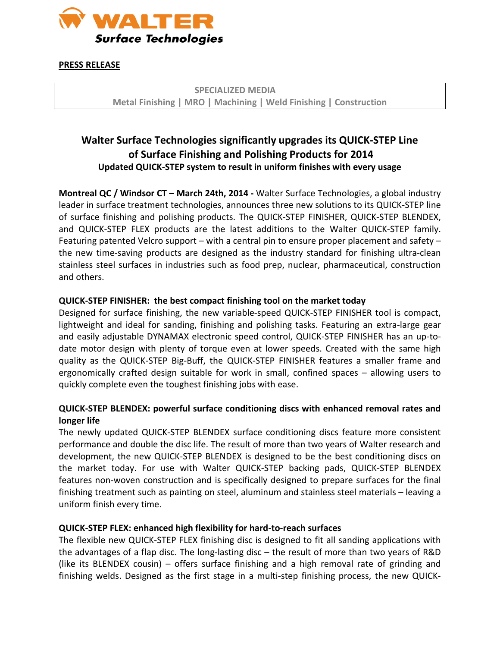

#### **PRESS RELEASE**

# **Walter Surface Technologies significantly upgrades its QUICK-STEP Line of Surface Finishing and Polishing Products for 2014 Updated QUICK-STEP system to result in uniform finishes with every usage**

**Montreal QC / Windsor CT – March 24th, 2014 -** Walter Surface Technologies, a global industry leader in surface treatment technologies, announces three new solutions to its QUICK-STEP line of surface finishing and polishing products. The QUICK-STEP FINISHER, QUICK-STEP BLENDEX, and QUICK-STEP FLEX products are the latest additions to the Walter QUICK-STEP family. Featuring patented Velcro support – with a central pin to ensure proper placement and safety – the new time-saving products are designed as the industry standard for finishing ultra-clean stainless steel surfaces in industries such as food prep, nuclear, pharmaceutical, construction and others.

### **QUICK-STEP FINISHER: the best compact finishing tool on the market today**

Designed for surface finishing, the new variable-speed QUICK-STEP FINISHER tool is compact, lightweight and ideal for sanding, finishing and polishing tasks. Featuring an extra-large gear and easily adjustable DYNAMAX electronic speed control, QUICK-STEP FINISHER has an up-todate motor design with plenty of torque even at lower speeds. Created with the same high quality as the QUICK-STEP Big-Buff, the QUICK-STEP FINISHER features a smaller frame and ergonomically crafted design suitable for work in small, confined spaces – allowing users to quickly complete even the toughest finishing jobs with ease.

# **QUICK-STEP BLENDEX: powerful surface conditioning discs with enhanced removal rates and longer life**

The newly updated QUICK-STEP BLENDEX surface conditioning discs feature more consistent performance and double the disc life. The result of more than two years of Walter research and development, the new QUICK-STEP BLENDEX is designed to be the best conditioning discs on the market today. For use with Walter QUICK-STEP backing pads, QUICK-STEP BLENDEX features non-woven construction and is specifically designed to prepare surfaces for the final finishing treatment such as painting on steel, aluminum and stainless steel materials – leaving a uniform finish every time.

# **QUICK-STEP FLEX: enhanced high flexibility for hard-to-reach surfaces**

The flexible new QUICK-STEP FLEX finishing disc is designed to fit all sanding applications with the advantages of a flap disc. The long-lasting disc – the result of more than two years of R&D (like its BLENDEX cousin) – offers surface finishing and a high removal rate of grinding and finishing welds. Designed as the first stage in a multi-step finishing process, the new QUICK-